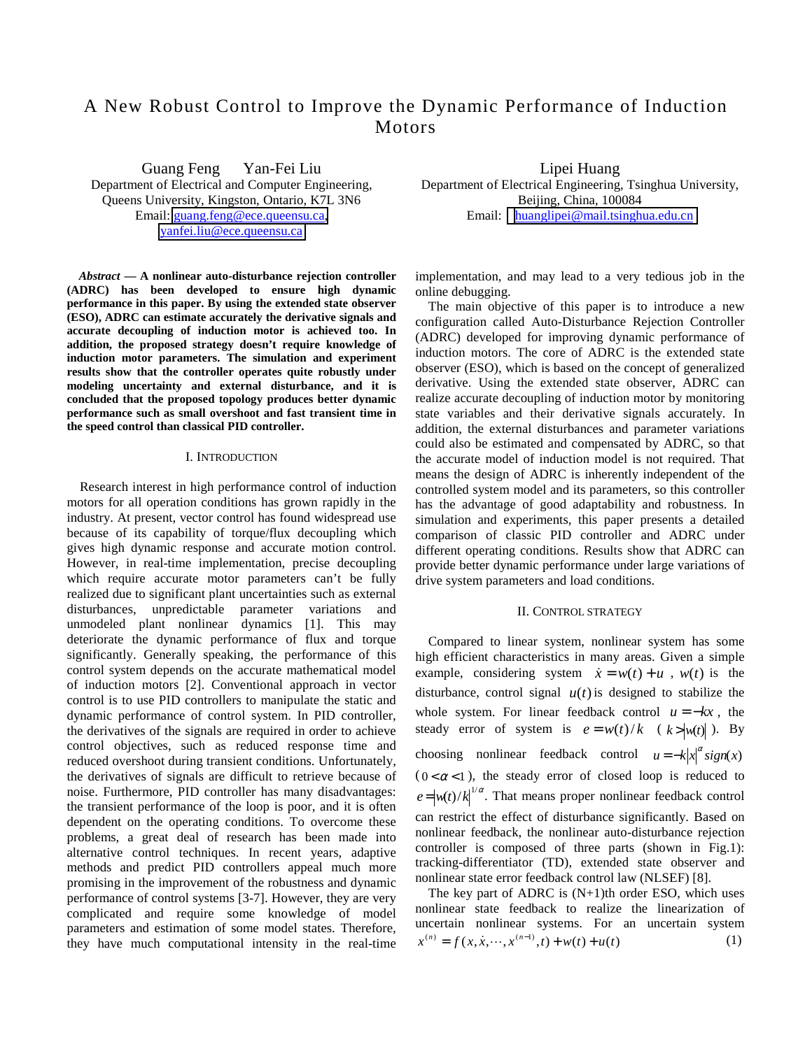# A New Robust Control to Improve the Dynamic Performance of Induction Motors

Guang Feng Yan-Fei Liu Department of Electrical and Computer Engineering, Queens University, Kingston, Ontario, K7L 3N6 Email: [guang.feng@ece.queensu.ca,](mailto:guang.feng@ece.queensu.ca) [yanfei.liu@ece.queensu.ca](mailto:yanfei.liu@ece.queensu.ca)

*Abstract* **— A nonlinear auto-disturbance rejection controller (ADRC) has been developed to ensure high dynamic performance in this paper. By using the extended state observer (ESO), ADRC can estimate accurately the derivative signals and accurate decoupling of induction motor is achieved too. In addition, the proposed strategy doesn't require knowledge of induction motor parameters. The simulation and experiment results show that the controller operates quite robustly under modeling uncertainty and external disturbance, and it is concluded that the proposed topology produces better dynamic performance such as small overshoot and fast transient time in the speed control than classical PID controller.** 

### I. INTRODUCTION

 Research interest in high performance control of induction motors for all operation conditions has grown rapidly in the industry. At present, vector control has found widespread use because of its capability of torque/flux decoupling which gives high dynamic response and accurate motion control. However, in real-time implementation, precise decoupling which require accurate motor parameters can't be fully realized due to significant plant uncertainties such as external disturbances, unpredictable parameter variations and unmodeled plant nonlinear dynamics [1]. This may deteriorate the dynamic performance of flux and torque significantly. Generally speaking, the performance of this control system depends on the accurate mathematical model of induction motors [2]. Conventional approach in vector control is to use PID controllers to manipulate the static and dynamic performance of control system. In PID controller, the derivatives of the signals are required in order to achieve control objectives, such as reduced response time and reduced overshoot during transient conditions. Unfortunately, the derivatives of signals are difficult to retrieve because of noise. Furthermore, PID controller has many disadvantages: the transient performance of the loop is poor, and it is often dependent on the operating conditions. To overcome these problems, a great deal of research has been made into alternative control techniques. In recent years, adaptive methods and predict PID controllers appeal much more promising in the improvement of the robustness and dynamic performance of control systems [3-7]. However, they are very complicated and require some knowledge of model parameters and estimation of some model states. Therefore, they have much computational intensity in the real-time

Lipei Huang Department of Electrical Engineering, Tsinghua University, Beijing, China, 100084 Email: [huanglipei@mail.tsinghua.edu.cn](mailto:guang.feng@ece.queensu.ca)

implementation, and may lead to a very tedious job in the online debugging.

 The main objective of this paper is to introduce a new configuration called Auto-Disturbance Rejection Controller (ADRC) developed for improving dynamic performance of induction motors. The core of ADRC is the extended state observer (ESO), which is based on the concept of generalized derivative. Using the extended state observer, ADRC can realize accurate decoupling of induction motor by monitoring state variables and their derivative signals accurately. In addition, the external disturbances and parameter variations could also be estimated and compensated by ADRC, so that the accurate model of induction model is not required. That means the design of ADRC is inherently independent of the controlled system model and its parameters, so this controller has the advantage of good adaptability and robustness. In simulation and experiments, this paper presents a detailed comparison of classic PID controller and ADRC under different operating conditions. Results show that ADRC can provide better dynamic performance under large variations of drive system parameters and load conditions.

## II. CONTROL STRATEGY

 Compared to linear system, nonlinear system has some high efficient characteristics in many areas. Given a simple example, considering system  $\dot{x} = w(t) + u$ ,  $w(t)$  is the disturbance, control signal  $u(t)$  is designed to stabilize the whole system. For linear feedback control  $u = -kx$ , the steady error of system is  $e = w(t)/k$  ( $k > |w(t)|$ ). By choosing nonlinear feedback control  $u = -k|x|^\alpha$  *sign(x)*  $(0 < \alpha < 1)$ , the steady error of closed loop is reduced to  $e = |w(t)/k|^{1/\alpha}$ . That means proper nonlinear feedback control can restrict the effect of disturbance significantly. Based on nonlinear feedback, the nonlinear auto-disturbance rejection controller is composed of three parts (shown in Fig.1): tracking-differentiator (TD), extended state observer and nonlinear state error feedback control law (NLSEF) [8].

 The key part of ADRC is (N+1)th order ESO, which uses nonlinear state feedback to realize the linearization of uncertain nonlinear systems. For an uncertain system  $x^{(n)} = f(x, \dot{x}, \dots, x^{(n-1)}, t) + w(t) + u(t)$ (1)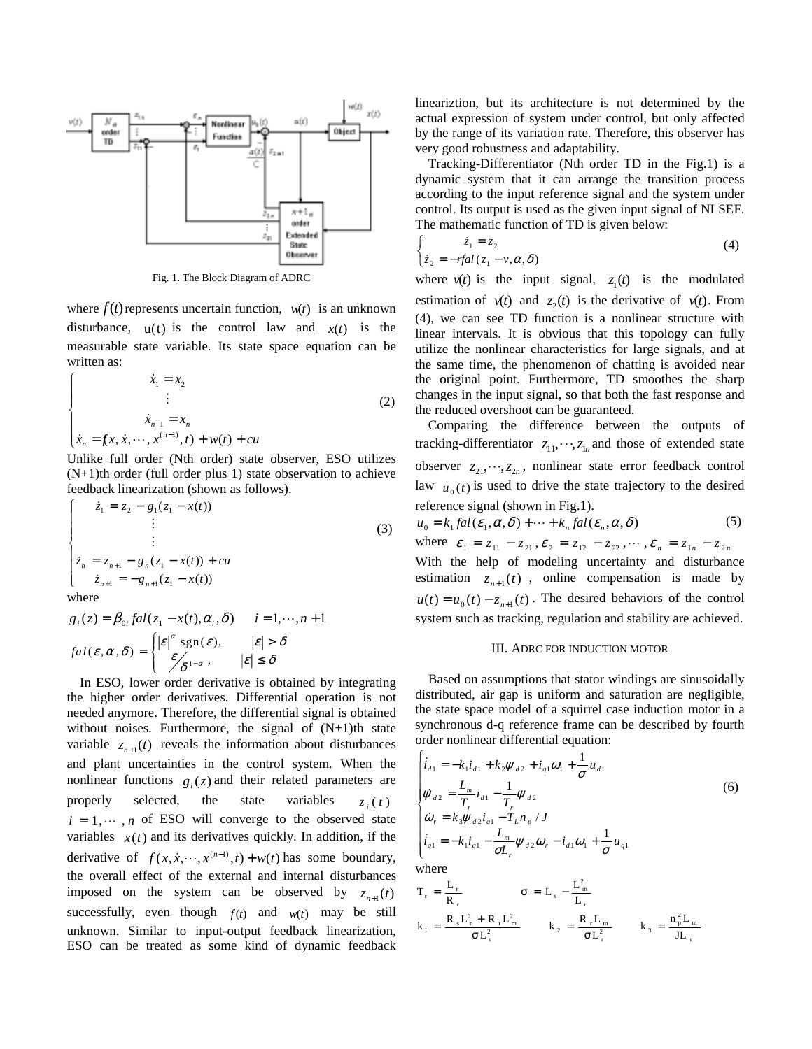

Fig. 1. The Block Diagram of ADRC

where  $f(t)$  represents uncertain function,  $w(t)$  is an unknown disturbance,  $u(t)$  is the control law and  $x(t)$  is the measurable state variable. Its state space equation can be written as:

$$
\begin{cases}\n\dot{x}_1 = x_2 \\
\vdots \\
\dot{x}_{n-1} = x_n \\
\dot{x}_n = f(x, \dot{x}, \dots, x^{(n-1)}, t) + w(t) + cu\n\end{cases}
$$
\n(2)

Unlike full order (Nth order) state observer, ESO utilizes  $(N+1)$ th order (full order plus 1) state observation to achieve feedback linearization (shown as follows).

$$
\begin{cases}\n\dot{z}_1 = z_2 - g_1(z_1 - x(t)) \\
\vdots \\
\dot{z}_n = z_{n+1} - g_n(z_1 - x(t)) + cu \\
\dot{z}_{n+1} = -g_{n+1}(z_1 - x(t))\n\end{cases}
$$
\n(3)

where

$$
g_i(z) = \beta_{0i} fal(z_1 - x(t), \alpha_i, \delta) \qquad i = 1, \dots, n+1
$$

$$
fal(\varepsilon, \alpha, \delta) = \begin{cases} |\varepsilon|^{\alpha} \operatorname{sgn}(\varepsilon), & |\varepsilon| > \delta \\ \varepsilon_{\delta^{1-\alpha}}, & |\varepsilon| \le \delta \end{cases}
$$

 In ESO, lower order derivative is obtained by integrating the higher order derivatives. Differential operation is not needed anymore. Therefore, the differential signal is obtained without noises. Furthermore, the signal of (N+1)th state variable  $z_{n+1}(t)$  reveals the information about disturbances and plant uncertainties in the control system. When the nonlinear functions  $g_i(z)$  and their related parameters are properly selected, the state variables  $z_i(t)$  $i = 1, \dots, n$  of ESO will converge to the observed state variables  $x(t)$  and its derivatives quickly. In addition, if the derivative of  $f(x, \dot{x}, \dots, x^{(n-1)}, t) + w(t)$  has some boundary, the overall effect of the external and internal disturbances imposed on the system can be observed by  $z_{n+1}(t)$ successfully, even though  $f(t)$  and  $w(t)$  may be still unknown. Similar to input-output feedback linearization, ESO can be treated as some kind of dynamic feedback

lineariztion, but its architecture is not determined by the actual expression of system under control, but only affected by the range of its variation rate. Therefore, this observer has very good robustness and adaptability.

 Tracking-Differentiator (Nth order TD in the Fig.1) is a dynamic system that it can arrange the transition process according to the input reference signal and the system under control. Its output is used as the given input signal of NLSEF. The mathematic function of TD is given below:

$$
\begin{cases}\n\dot{z}_1 = z_2 \\
\dot{z}_2 = -rfaI(z_1 - v, \alpha, \delta)\n\end{cases}
$$
\n(4)

where  $v(t)$  is the input signal,  $z_1(t)$  is the modulated estimation of  $v(t)$  and  $z_2(t)$  is the derivative of  $v(t)$ . From (4), we can see TD function is a nonlinear structure with linear intervals. It is obvious that this topology can fully utilize the nonlinear characteristics for large signals, and at the same time, the phenomenon of chatting is avoided near the original point. Furthermore, TD smoothes the sharp changes in the input signal, so that both the fast response and the reduced overshoot can be guaranteed.

 Comparing the difference between the outputs of tracking-differentiator  $z_{11}, \dots, z_{1n}$  and those of extended state observer  $z_{21}, \dots, z_{2n}$ , nonlinear state error feedback control law  $u_0(t)$  is used to drive the state trajectory to the desired reference signal (shown in Fig.1).

$$
u_0 = k_1 f a l(\varepsilon_1, \alpha, \delta) + \dots + k_n f a l(\varepsilon_n, \alpha, \delta)
$$
\n<sup>(5)</sup>

where  $\varepsilon_1 = z_{11} - z_{21}$ ,  $\varepsilon_2 = z_{12} - z_{22}$ ,  $\cdots$ ,  $\varepsilon_n = z_{1n} - z_{2n}$ With the help of modeling uncertainty and disturbance estimation  $z_{n+1}(t)$ , online compensation is made by  $u(t) = u_0(t) - z_{n+1}(t)$ . The desired behaviors of the control system such as tracking, regulation and stability are achieved.

#### III. ADRC FOR INDUCTION MOTOR

 Based on assumptions that stator windings are sinusoidally distributed, air gap is uniform and saturation are negligible, the state space model of a squirrel case induction motor in a synchronous d-q reference frame can be described by fourth order nonlinear differential equation:

$$
\begin{cases}\n\dot{i}_{d1} = -k_1 \dot{i}_{d1} + k_2 \psi_{d2} + i_{q1} \omega_1 + \frac{1}{\sigma} u_{d1} \\
\dot{\psi}_{d2} = \frac{L_m}{T_r} \dot{i}_{d1} - \frac{1}{T_r} \psi_{d2} \\
\dot{\omega}_r = k_3 \psi_{d2} \dot{i}_{q1} - T_L n_p / J \\
\dot{i}_{q1} = -k_1 \dot{i}_{q1} - \frac{L_m}{\sigma L_r} \psi_{d2} \omega_r - \dot{i}_{d1} \omega_1 + \frac{1}{\sigma} u_{q1}\n\end{cases}
$$
\n(6)

where

$$
T_r = \frac{L_r}{R_r} \qquad \sigma = L_s - \frac{L_m^2}{L_r}
$$
  

$$
k_1 = \frac{R_s L_r^2 + R_r L_m^2}{\sigma L_r^2} \qquad k_2 = \frac{R_r L_m}{\sigma L_r^2} \qquad k_3 = \frac{n_p^2 L_m}{J L_r}
$$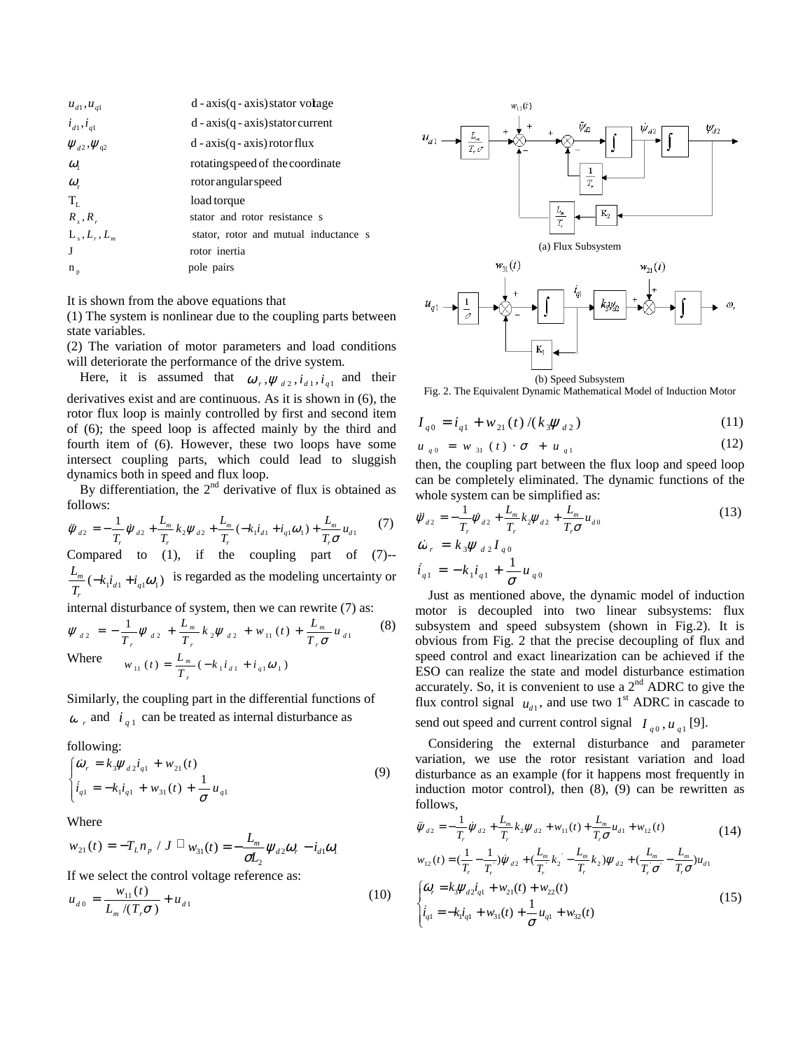| $u_{d1}$ , $u_{d1}$       | $d - axis(q - axis)$ stator voltage   |  |
|---------------------------|---------------------------------------|--|
| $i_{d1}, i_{d1}$          | $d - axis(q - axis)$ stator current   |  |
| $\psi_{d2}, \psi_{q2}$    | $d - axis(q - axis)$ rotor flux       |  |
| $\omega_{1}$              | rotating speed of the coordinate      |  |
| $\omega_{\rm r}$          | rotor angular speed                   |  |
| $T_{\rm L}$               | load torque                           |  |
| $R_{\rm s}$ , $R_{\rm r}$ | stator and rotor resistance s         |  |
| $L_*, L_*, L_*$           | stator, rotor and mutual inductance s |  |
|                           | rotor inertia                         |  |
| $n_{\rm p}$               | pole pairs                            |  |
|                           |                                       |  |

It is shown from the above equations that

(1) The system is nonlinear due to the coupling parts between state variables.

(2) The variation of motor parameters and load conditions will deteriorate the performance of the drive system.

Here, it is assumed that  $\omega_r$ ,  $\psi_{d2}$ ,  $i_{d1}$ ,  $i_{d1}$  and their derivatives exist and are continuous. As it is shown in (6), the rotor flux loop is mainly controlled by first and second item of (6); the speed loop is affected mainly by the third and fourth item of (6). However, these two loops have some intersect coupling parts, which could lead to sluggish dynamics both in speed and flux loop.

By differentiation, the  $2<sup>nd</sup>$  derivative of flux is obtained as follows:

$$
\ddot{\psi}_{d2} = -\frac{1}{T_r} \dot{\psi}_{d2} + \frac{L_m}{T_r} k_2 \psi_{d2} + \frac{L_m}{T_r} (-k_1 \dot{i}_{d1} + \dot{i}_{q1} \omega_1) + \frac{L_m}{T_r \sigma} u_{d1} \tag{7}
$$

Compared to  $(1)$ , if the coupling part of  $(7)$ --*L*  $\frac{L_m}{T_r}$  ( $-k_1 i_{d1} + i$  $\frac{d^m}{dt^n}$  (  $-k_1 i_{d1} + i_{q1} \omega_1$ ) is regarded as the modeling uncertainty or

internal disturbance of system, then we can rewrite (7) as:

$$
\psi_{d2} = -\frac{1}{T_r} \psi_{d2} + \frac{L_m}{T_r} k_2 \psi_{d2} + w_{11}(t) + \frac{L_m}{T_r \sigma} u_{d1}
$$
 (8)  
Where 
$$
w_{11}(t) = \frac{L_m}{T_r} (-k_1 i_{d1} + i_{q1} \omega_1)
$$

Similarly, the coupling part in the differential functions of  $\omega_r$  and  $\omega_{q}$  can be treated as internal disturbance as

following:

$$
\begin{cases} \dot{\omega}_r = k_3 \psi_{d2} i_{q1} + w_{21}(t) \\ i_{q1} = -k_1 i_{q1} + w_{31}(t) + \frac{1}{\sigma} u_{q1} \end{cases}
$$
(9)

Where

$$
w_{21}(t) = -T_L n_p / J \qquad w_{31}(t) = -\frac{L_m}{\sigma L_2} \psi_{d2} \omega_r - i_{d1} \omega_1
$$

If we select the control voltage reference as:

$$
u_{d0} = \frac{w_{11}(t)}{L_m / (T_r \sigma)} + u_{d1}
$$
 (10)



Fig. 2. The Equivalent Dynamic Mathematical Model of Induction Motor

$$
I_{q0} = i_{q1} + w_{21}(t) / (k_3 \psi_{d2})
$$
 (11)

$$
u_{q0} = w_{31} (t) \cdot \sigma + u_{q1}
$$
 (12)

then, the coupling part between the flux loop and speed loop can be completely eliminated. The dynamic functions of the whole system can be simplified as:

$$
\ddot{\psi}_{d2} = -\frac{1}{T_r} \dot{\psi}_{d2} + \frac{L_m}{T_r} k_2 \psi_{d2} + \frac{L_m}{T_r \sigma} u_{d0}
$$
\n
$$
\dot{\omega}_r = k_3 \psi_{d2} I_{q0}
$$
\n
$$
\dot{i}_{q1} = -k_1 \dot{i}_{q1} + \frac{1}{\sigma} u_{q0}
$$
\n(13)

 Just as mentioned above, the dynamic model of induction motor is decoupled into two linear subsystems: flux subsystem and speed subsystem (shown in Fig.2). It is obvious from Fig. 2 that the precise decoupling of flux and speed control and exact linearization can be achieved if the ESO can realize the state and model disturbance estimation accurately. So, it is convenient to use a  $2<sup>nd</sup>$  ADRC to give the flux control signal  $u_{d1}$ , and use two 1<sup>st</sup> ADRC in cascade to

send out speed and current control signal  $I_{q0}$ ,  $u_{q1}$  [9].

 Considering the external disturbance and parameter variation, we use the rotor resistant variation and load disturbance as an example (for it happens most frequently in induction motor control), then (8), (9) can be rewritten as follows,

$$
\ddot{\psi}_{d2} = -\frac{1}{T_r} \dot{\psi}_{d2} + \frac{L_m}{T_r} k_2 \psi_{d2} + w_{11}(t) + \frac{L_m}{T_r \sigma} u_{d1} + w_{12}(t) \tag{14}
$$
\n
$$
w_{12}(t) = (\frac{1}{T_r} - \frac{1}{T_r}) \dot{\psi}_{d2} + (\frac{L_m}{T_r} k_2 - \frac{L_m}{T_r} k_2) \psi_{d2} + (\frac{L_m}{T_r \sigma} - \frac{L_m}{T_r \sigma}) u_{d1}
$$
\n
$$
\begin{cases}\n\dot{\omega}_r = k_3 \psi_{d2} i_{q1} + w_{21}(t) + w_{22}(t) \\
\dot{i}_{q1} = -k_1 i_{q1} + w_{31}(t) + \frac{1}{\sigma} u_{q1} + w_{32}(t)\n\end{cases} \tag{15}
$$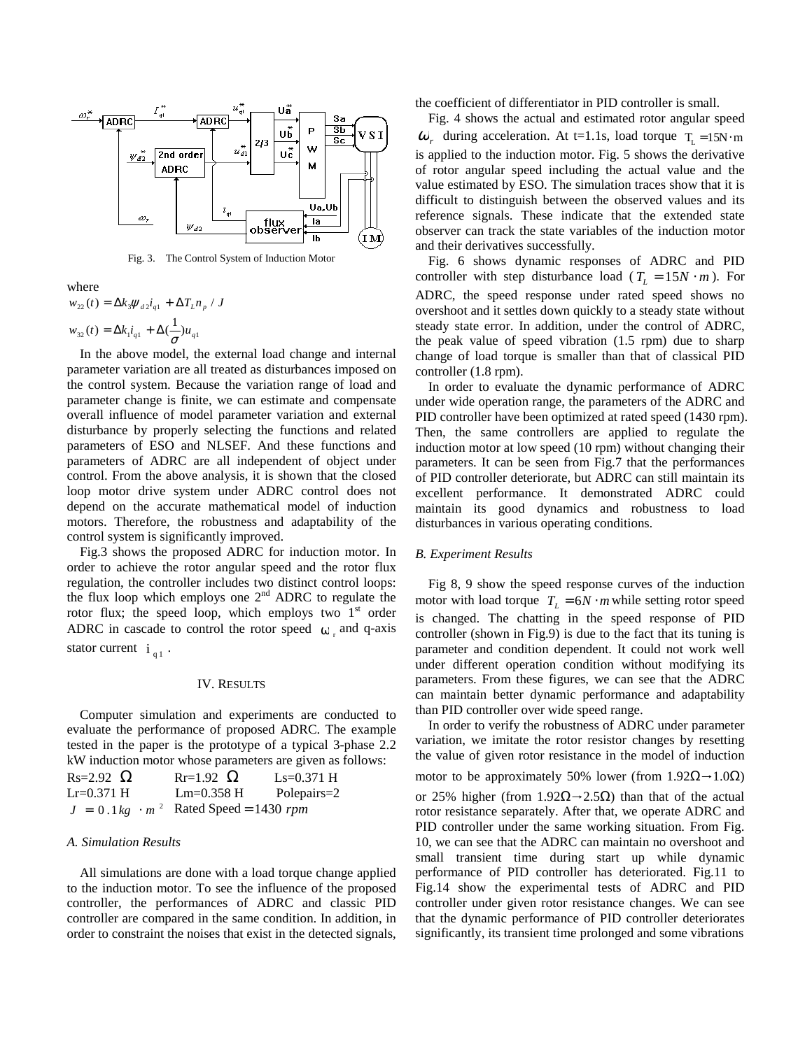

Fig. 3. The Control System of Induction Motor

where

$$
w_{22}(t) = \Delta k_3 \psi_{d2} i_{q1} + \Delta T_L n_p / J
$$
  

$$
w_{32}(t) = \Delta k_1 i_{q1} + \Delta (\frac{1}{\sigma}) u_{q1}
$$

 In the above model, the external load change and internal parameter variation are all treated as disturbances imposed on the control system. Because the variation range of load and parameter change is finite, we can estimate and compensate overall influence of model parameter variation and external disturbance by properly selecting the functions and related parameters of ESO and NLSEF. And these functions and parameters of ADRC are all independent of object under control. From the above analysis, it is shown that the closed loop motor drive system under ADRC control does not depend on the accurate mathematical model of induction motors. Therefore, the robustness and adaptability of the control system is significantly improved.

 Fig.3 shows the proposed ADRC for induction motor. In order to achieve the rotor angular speed and the rotor flux regulation, the controller includes two distinct control loops: the flux loop which employs one  $2<sup>nd</sup>$  ADRC to regulate the rotor flux; the speed loop, which employs two  $1<sup>st</sup>$  order ADRC in cascade to control the rotor speed  $\omega$  and q-axis stator current  $i_{01}$ .

#### IV. RESULTS

 Computer simulation and experiments are conducted to evaluate the performance of proposed ADRC. The example tested in the paper is the prototype of a typical 3-phase 2.2 kW induction motor whose parameters are given as follows:

| $Rs=2.92$ $\Omega$ | $Rr=1.92$ $\Omega$                            | $Ls = 0.371$ H  |
|--------------------|-----------------------------------------------|-----------------|
| $Lr = 0.371$ H     | $Lm=0.358$ H                                  | Polepairs $=$ 2 |
|                    | $J = 0.1 kg \cdot m^2$ Rated Speed = 1430 rpm |                 |

#### *A. Simulation Results*

 All simulations are done with a load torque change applied to the induction motor. To see the influence of the proposed controller, the performances of ADRC and classic PID controller are compared in the same condition. In addition, in order to constraint the noises that exist in the detected signals,

the coefficient of differentiator in PID controller is small.

 Fig. 4 shows the actual and estimated rotor angular speed  $\omega_r$  during acceleration. At t=1.1s, load torque T<sub>L</sub> =15N⋅m is applied to the induction motor. Fig. 5 shows the derivative of rotor angular speed including the actual value and the value estimated by ESO. The simulation traces show that it is difficult to distinguish between the observed values and its reference signals. These indicate that the extended state observer can track the state variables of the induction motor and their derivatives successfully.

 Fig. 6 shows dynamic responses of ADRC and PID controller with step disturbance load ( $T_L = 15N \cdot m$ ). For ADRC, the speed response under rated speed shows no overshoot and it settles down quickly to a steady state without steady state error. In addition, under the control of ADRC, the peak value of speed vibration (1.5 rpm) due to sharp change of load torque is smaller than that of classical PID controller (1.8 rpm).

 In order to evaluate the dynamic performance of ADRC under wide operation range, the parameters of the ADRC and PID controller have been optimized at rated speed (1430 rpm). Then, the same controllers are applied to regulate the induction motor at low speed (10 rpm) without changing their parameters. It can be seen from Fig.7 that the performances of PID controller deteriorate, but ADRC can still maintain its excellent performance. It demonstrated ADRC could maintain its good dynamics and robustness to load disturbances in various operating conditions.

### *B. Experiment Results*

 Fig 8, 9 show the speed response curves of the induction motor with load torque  $T_L = 6N \cdot m$  while setting rotor speed is changed. The chatting in the speed response of PID controller (shown in Fig.9) is due to the fact that its tuning is parameter and condition dependent. It could not work well under different operation condition without modifying its parameters. From these figures, we can see that the ADRC can maintain better dynamic performance and adaptability than PID controller over wide speed range.

 In order to verify the robustness of ADRC under parameter variation, we imitate the rotor resistor changes by resetting the value of given rotor resistance in the model of induction motor to be approximately 50% lower (from  $1.92\Omega \rightarrow 1.0\Omega$ ) or 25% higher (from  $1.92\Omega \rightarrow 2.5\Omega$ ) than that of the actual rotor resistance separately. After that, we operate ADRC and PID controller under the same working situation. From Fig. 10, we can see that the ADRC can maintain no overshoot and small transient time during start up while dynamic performance of PID controller has deteriorated. Fig.11 to Fig.14 show the experimental tests of ADRC and PID controller under given rotor resistance changes. We can see that the dynamic performance of PID controller deteriorates significantly, its transient time prolonged and some vibrations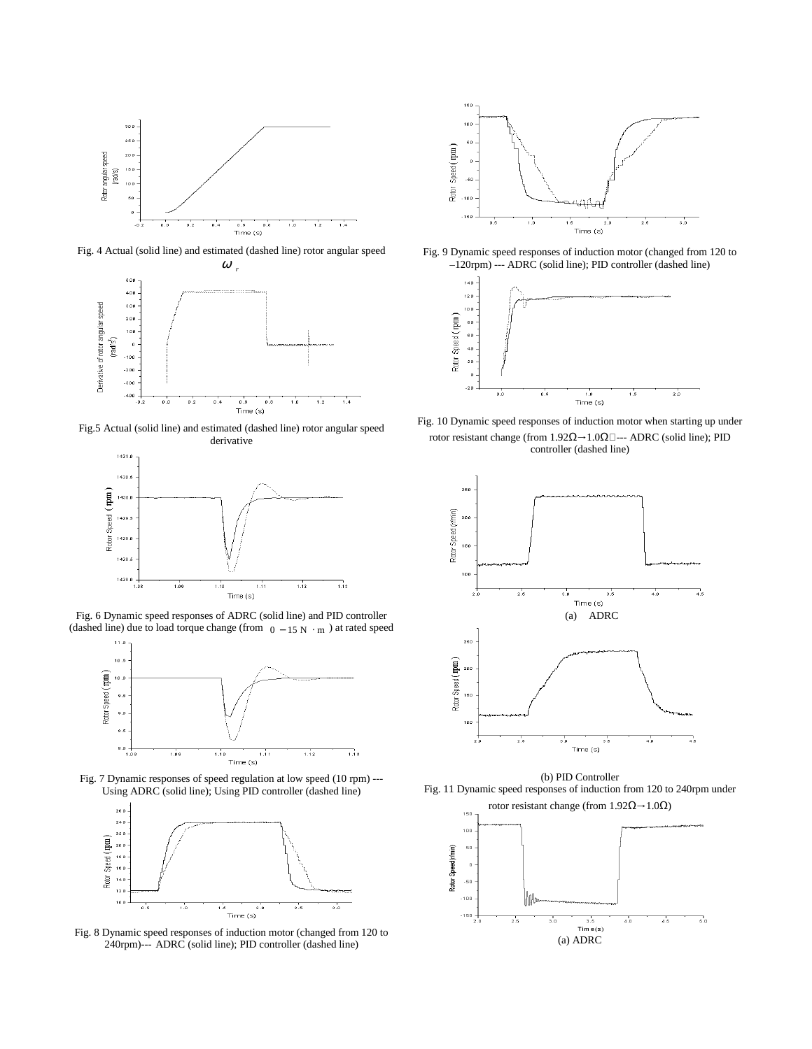

Fig. 4 Actual (solid line) and estimated (dashed line) rotor angular speed



Fig.5 Actual (solid line) and estimated (dashed line) rotor angular speed derivative



Fig. 6 Dynamic speed responses of ADRC (solid line) and PID controller (dashed line) due to load torque change (from  $0 - 15$  N ⋅ m) at rated speed



Fig. 7 Dynamic responses of speed regulation at low speed (10 rpm) --- Using ADRC (solid line); Using PID controller (dashed line)



Fig. 8 Dynamic speed responses of induction motor (changed from 120 to 240rpm)--- ADRC (solid line); PID controller (dashed line)



Fig. 9 Dynamic speed responses of induction motor (changed from 120 to –120rpm) --- ADRC (solid line); PID controller (dashed line)



Fig. 10 Dynamic speed responses of induction motor when starting up under rotor resistant change (from  $1.92\Omega \rightarrow 1.0\Omega$  --- ADRC (solid line); PID controller (dashed line)



(b) PID Controller Fig. 11 Dynamic speed responses of induction from 120 to 240rpm under